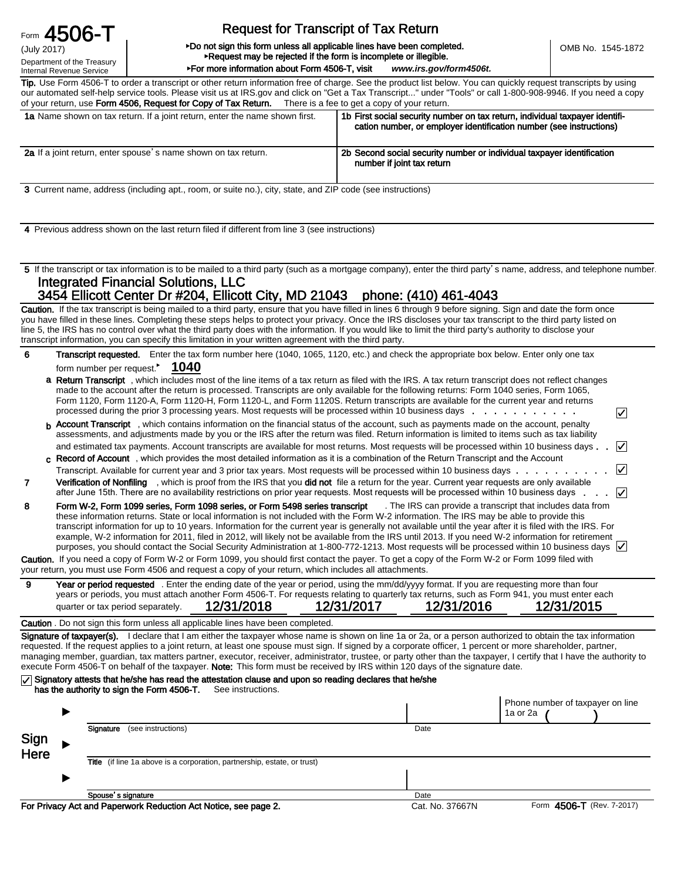Form 4506-T

(July 2017) Department of the Treasury Internal Revenue Service

## Request for Transcript of Tax Return

#### ►Do not sign this form unless all applicable lines have been completed. ►Request may be rejected if the form is incomplete or illegible.

►For more information about Form 4506-T, visit *www.irs.gov/form4506t.*

Tip. Use Form 4506-T to order a transcript or other return information free of charge. See the product list below. You can quickly request transcripts by using our automated self-help service tools. Please visit us at IRS.gov and click on "Get a Tax Transcript..." under "Tools" or call 1-800-908-9946. If you need a copy of your return, use Form 4506, Request for Copy of Tax Return. There is a fee to get a copy of your return.

| <b>1a</b> Name shown on tax return. If a joint return, enter the name shown first. | 1b First social security number on tax return, individual taxpayer identifi-<br>cation number, or employer identification number (see instructions) |
|------------------------------------------------------------------------------------|-----------------------------------------------------------------------------------------------------------------------------------------------------|
| 2a If a joint return, enter spouse's name shown on tax return.                     | 2b Second social security number or individual taxpayer identification<br>number if joint tax return                                                |

3 Current name, address (including apt., room, or suite no.), city, state, and ZIP code (see instructions)

4 Previous address shown on the last return filed if different from line 3 (see instructions)

5 If the transcript or tax information is to be mailed to a third party (such as a mortgage company), enter the third party's name, address, and telephone number. Integrated Financial Solutions, LLC

# 3454 Ellicott Center Dr #204, Ellicott City, MD 21043 phone: (410) 461-4043

Caution. If the tax transcript is being mailed to a third party, ensure that you have filled in lines 6 through 9 before signing. Sign and date the form once you have filled in these lines. Completing these steps helps to protect your privacy. Once the IRS discloses your tax transcript to the third party listed on line 5, the IRS has no control over what the third party does with the information. If you would like to limit the third party's authority to disclose your transcript information, you can specify this limitation in your written agreement with the third party.

6 ► form number per request. **1040** Transcript requested. Enter the tax form number here (1040, 1065, 1120, etc.) and check the appropriate box below. Enter only one tax

|  | a Return Transcript, which includes most of the line items of a tax return as filed with the IRS. A tax return transcript does not reflect changes<br>made to the account after the return is processed. Transcripts are only available for the following returns: Form 1040 series, Form 1065,<br>Form 1120, Form 1120-A, Form 1120-H, Form 1120-L, and Form 1120S. Return transcripts are available for the current year and returns<br>processed during the prior 3 processing years. Most requests will be processed within 10 business days                                                    | ∣✓ |
|--|-----------------------------------------------------------------------------------------------------------------------------------------------------------------------------------------------------------------------------------------------------------------------------------------------------------------------------------------------------------------------------------------------------------------------------------------------------------------------------------------------------------------------------------------------------------------------------------------------------|----|
|  | <b>h</b> Account Transcript, which contains information on the financial status of the account, such as payments made on the account, penalty<br>assessments, and adjustments made by you or the IRS after the return was filed. Return information is limited to items such as tax liability                                                                                                                                                                                                                                                                                                       |    |
|  | and estimated tax payments. Account transcripts are available for most returns. Most requests will be processed within 10 business days $\blacksquare$                                                                                                                                                                                                                                                                                                                                                                                                                                              |    |
|  | c Record of Account, which provides the most detailed information as it is a combination of the Return Transcript and the Account                                                                                                                                                                                                                                                                                                                                                                                                                                                                   |    |
|  |                                                                                                                                                                                                                                                                                                                                                                                                                                                                                                                                                                                                     |    |
|  | Verification of Nonfiling, which is proof from the IRS that you did not file a return for the year. Current year requests are only available<br>after June 15th. There are no availability restrictions on prior year requests. Most requests will be processed within 10 business days $\blacksquare$                                                                                                                                                                                                                                                                                              |    |
|  | Form W-2, Form 1099 series, Form 1098 series, or Form 5498 series transcript . The IRS can provide a transcript that includes data from<br>these information returns. State or local information is not included with the Form W-2 information. The IRS may be able to provide this<br>transcript information for up to 10 years. Information for the current year is generally not available until the year after it is filed with the IRS. For<br>example W-2 information for 2011 filed in 2012 will likely not be available from the IPS until 2013. If you need W-2 information for retirement |    |

| transcript information for up to 10 years. Information for the current year is generally not available until the year after it is filed with the IRS. For |  |
|-----------------------------------------------------------------------------------------------------------------------------------------------------------|--|
| example, W-2 information for 2011, filed in 2012, will likely not be available from the IRS until 2013. If you need W-2 information for retirement        |  |
| purposes, you should contact the Social Security Administration at 1-800-772-1213. Most requests will be processed within 10 business days $\sqrt{ }$     |  |
| <b>Caution.</b> If you need a copy of Form W-2 or Form 1099, you should first contact the payer. To get a copy of the Form W-2 or Form 1099 filed with    |  |

your return, you must use Form 4506 and request a copy of your return, which includes all attachments.

9 Year or period requested . Enter the ending date of the year or period, using the mm/dd/yyyy format. If you are requesting more than four years or periods, you must attach another Form 4506-T. For requests relating to quarterly tax returns, such as Form 941, you must enter each quarter or tax period separately. 12/31/2018 12/31/2017 12/31/2016 12/31/2015

#### Caution . Do not sign this form unless all applicable lines have been completed.

Signature of taxpayer(s). I declare that I am either the taxpayer whose name is shown on line 1a or 2a, or a person authorized to obtain the tax information requested. If the request applies to a joint return, at least one spouse must sign. If signed by a corporate officer, 1 percent or more shareholder, partner, managing member, guardian, tax matters partner, executor, receiver, administrator, trustee, or party other than the taxpayer, I certify that I have the authority to execute Form 4506-T on behalf of the taxpayer. Note: This form must be received by IRS within 120 days of the signature date.

#### $\sqrt{\phantom{a}}$  Signatory attests that he/she has read the attestation clause and upon so reading declares that he/she

| has the authority to sign the Form 4506-T. | See instructions. |
|--------------------------------------------|-------------------|
|--------------------------------------------|-------------------|

|              |                                                                                 |      | Phone number of taxpayer on line<br>1a or 2a |
|--------------|---------------------------------------------------------------------------------|------|----------------------------------------------|
| Sign<br>Here | Signature<br>(see instructions)                                                 | Date |                                              |
|              | <b>Title</b> (if line 1a above is a corporation, partnership, estate, or trust) |      |                                              |
|              |                                                                                 |      |                                              |
|              | Spouse's signature                                                              | Date |                                              |

For Privacy Act and Paperwork Reduction Act Notice, see page 2. Cat. No. 37667N